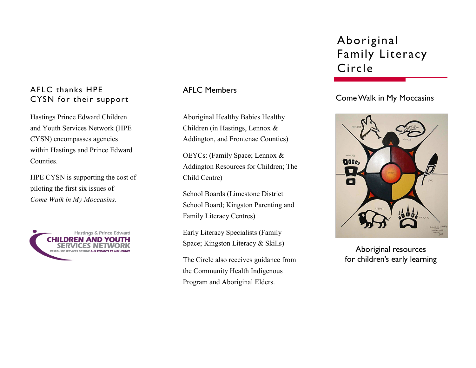### AFLC thanks HPE CYSN for their support

Hastings Prince Edward Children and Youth Services Network (HPE CYSN) encompasses agencies within Hastings and Prince Edward Counties.

HPE CYSN is supporting the cost of piloting the first six issues of *Come Walk in My Moccasins.*



AFLC Members

Aboriginal Healthy Babies Healthy Children (in Hastings, Lennox & Addington, and Frontenac Counties)

OEYCs: (Family Space; Lennox & Addington Resources for Children; The Child Centre)

School Boards (Limestone District School Board; Kingston Parenting and Family Literacy Centres)

Early Literacy Specialists (Family Space; Kingston Literacy & Skills)

The Circle also receives guidance from the Community Health Indigenous Program and Aboriginal Elders.

# Aboriginal Family Literacy Circle

## Come Walk in My Moccasins



Aboriginal resources for children's early learning